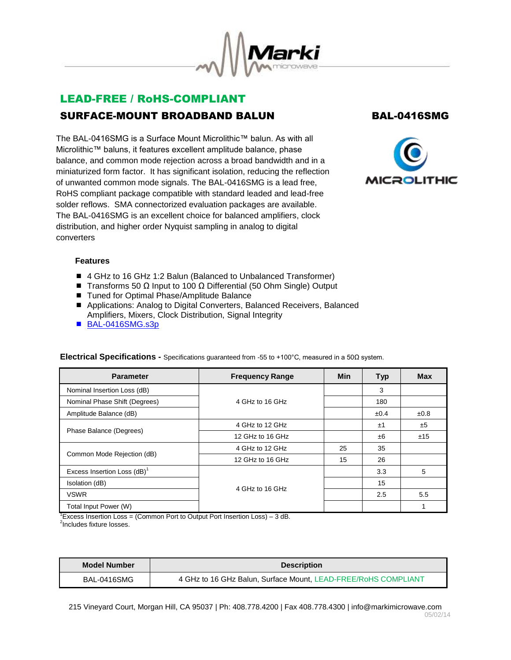

# LEAD-FREE / RoHS-COMPLIANT SURFACE-MOUNT BROADBAND BALUN BAL-0416SMG

The BAL-0416SMG is a Surface Mount Microlithic™ balun. As with all Microlithic™ baluns, it features excellent amplitude balance, phase balance, and common mode rejection across a broad bandwidth and in a miniaturized form factor. It has significant isolation, reducing the reflection of unwanted common mode signals. The BAL-0416SMG is a lead free, RoHS compliant package compatible with standard leaded and lead-free solder reflows. SMA connectorized evaluation packages are available. The BAL-0416SMG is an excellent choice for balanced amplifiers, clock distribution, and higher order Nyquist sampling in analog to digital converters



## **Features**

- 4 GHz to 16 GHz 1:2 Balun (Balanced to Unbalanced Transformer)
- $\blacksquare$  Transforms 50 Ω Input to 100 Ω Differential (50 Ohm Single) Output
- Tuned for Optimal Phase/Amplitude Balance
- Applications: Analog to Digital Converters, Balanced Receivers, Balanced Amplifiers, Mixers, Clock Distribution, Signal Integrity
- [BAL-0416SMG.s3p](http://www.markimicrowave.com/assets/data/BAL-0416SMG.zip)

| <b>Parameter</b>               | <b>Frequency Range</b> | <b>Min</b> | <b>Typ</b> | <b>Max</b> |
|--------------------------------|------------------------|------------|------------|------------|
| Nominal Insertion Loss (dB)    |                        |            | 3          |            |
| Nominal Phase Shift (Degrees)  | 4 GHz to 16 GHz        |            | 180        |            |
| Amplitude Balance (dB)         |                        |            | ±0.4       | ±0.8       |
|                                | 4 GHz to 12 GHz        |            | ±1         | ±5         |
| Phase Balance (Degrees)        | 12 GHz to 16 GHz       |            | ±6         | ±15        |
| Common Mode Rejection (dB)     | 4 GHz to 12 GHz        | 25         | 35         |            |
|                                | 12 GHz to 16 GHz       | 15         | 26         |            |
| Excess Insertion Loss $(dB)^T$ |                        |            | 3.3        | 5          |
| Isolation (dB)                 | 4 GHz to 16 GHz        |            | 15         |            |
| <b>VSWR</b>                    |                        |            | 2.5        | 5.5        |
| Total Input Power (W)          |                        |            |            |            |

### **Electrical Specifications -** Specifications guaranteed from -55 to +100°C, measured in a 50Ω system.

<sup>1</sup>Excess Insertion Loss = (Common Port to Output Port Insertion Loss)  $-3$  dB.

<sup>2</sup>Includes fixture losses.

| Model Number | <b>Description</b>                                             |  |
|--------------|----------------------------------------------------------------|--|
| BAL-0416SMG  | 4 GHz to 16 GHz Balun, Surface Mount, LEAD-FREE/RoHS COMPLIANT |  |

215 Vineyard Court, Morgan Hill, CA 95037 | Ph: 408.778.4200 | Fax 408.778.4300 | info@markimicrowave.com 05/02/14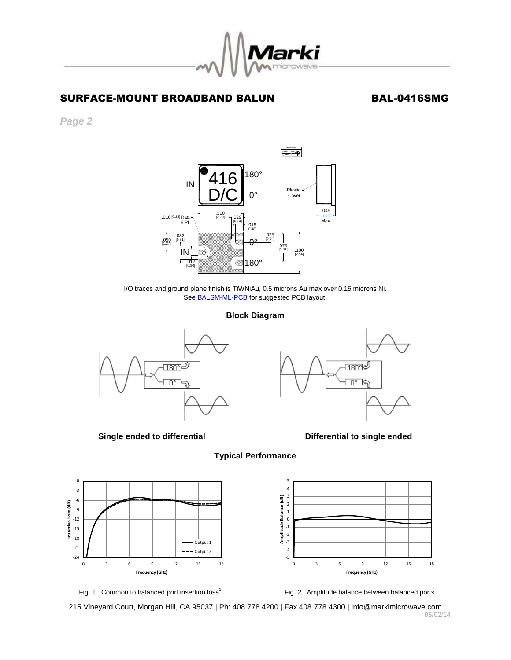

## SURFACE-MOUNT BROADBAND BALUN BAL-0416SMG

*Page 2*



I/O traces and ground plane finish is TiWNiAu, 0.5 microns Au max over 0.15 microns Ni. See **BALSM-ML-PCB** for suggested PCB layout.

### **Block Diagram**

**Typical Performance**



**Single ended to differential dividends and Single ended Single ended** 











215 Vineyard Court, Morgan Hill, CA 95037 | Ph: 408.778.4200 | Fax 408.778.4300 | info@markimicrowave.com 05/02/14